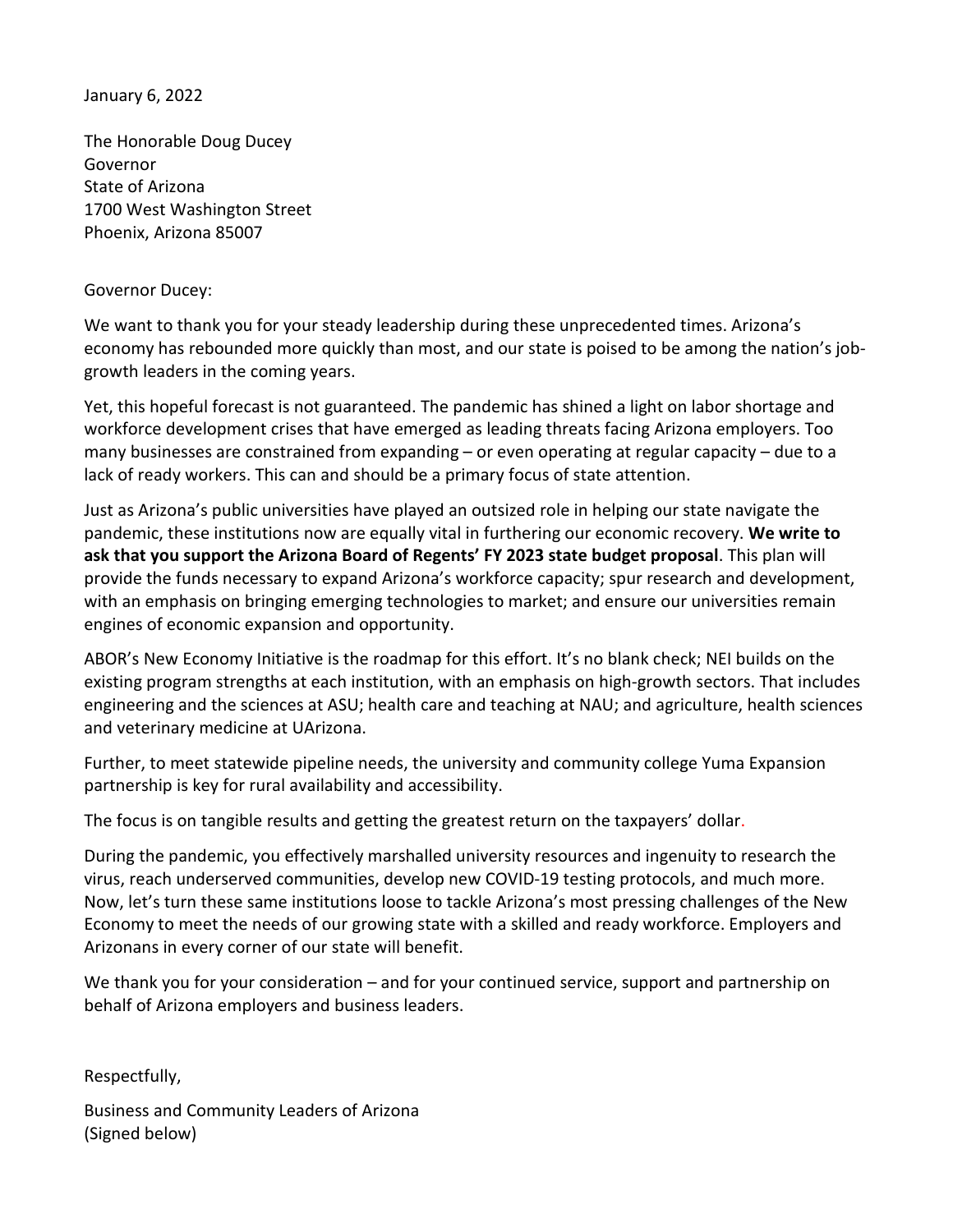January 6, 2022

The Honorable Doug Ducey Governor State of Arizona 1700 West Washington Street Phoenix, Arizona 85007

## Governor Ducey:

We want to thank you for your steady leadership during these unprecedented times. Arizona's economy has rebounded more quickly than most, and our state is poised to be among the nation's jobgrowth leaders in the coming years.

Yet, this hopeful forecast is not guaranteed. The pandemic has shined a light on labor shortage and workforce development crises that have emerged as leading threats facing Arizona employers. Too many businesses are constrained from expanding – or even operating at regular capacity – due to a lack of ready workers. This can and should be a primary focus of state attention.

Just as Arizona's public universities have played an outsized role in helping our state navigate the pandemic, these institutions now are equally vital in furthering our economic recovery. **We write to ask that you support the Arizona Board of Regents' FY 2023 state budget proposal**. This plan will provide the funds necessary to expand Arizona's workforce capacity; spur research and development, with an emphasis on bringing emerging technologies to market; and ensure our universities remain engines of economic expansion and opportunity.

ABOR's New Economy Initiative is the roadmap for this effort. It's no blank check; NEI builds on the existing program strengths at each institution, with an emphasis on high-growth sectors. That includes engineering and the sciences at ASU; health care and teaching at NAU; and agriculture, health sciences and veterinary medicine at UArizona.

Further, to meet statewide pipeline needs, the university and community college Yuma Expansion partnership is key for rural availability and accessibility.

The focus is on tangible results and getting the greatest return on the taxpayers' dollar.

During the pandemic, you effectively marshalled university resources and ingenuity to research the virus, reach underserved communities, develop new COVID-19 testing protocols, and much more. Now, let's turn these same institutions loose to tackle Arizona's most pressing challenges of the New Economy to meet the needs of our growing state with a skilled and ready workforce. Employers and Arizonans in every corner of our state will benefit.

We thank you for your consideration – and for your continued service, support and partnership on behalf of Arizona employers and business leaders.

Respectfully,

Business and Community Leaders of Arizona (Signed below)